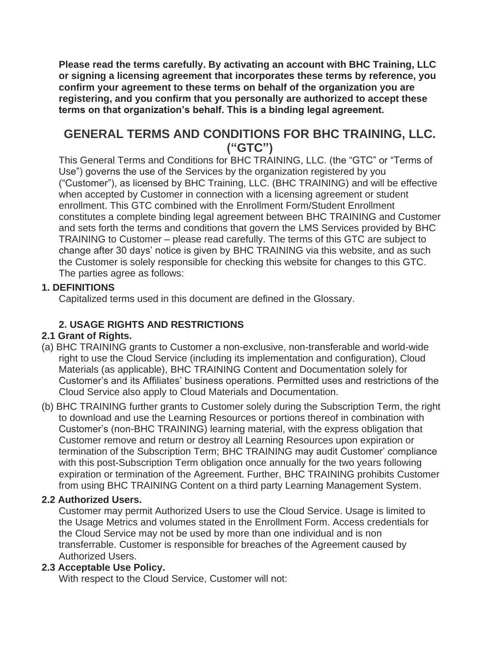**Please read the terms carefully. By activating an account with BHC Training, LLC or signing a licensing agreement that incorporates these terms by reference, you confirm your agreement to these terms on behalf of the organization you are registering, and you confirm that you personally are authorized to accept these terms on that organization's behalf. This is a binding legal agreement.**

# **GENERAL TERMS AND CONDITIONS FOR BHC TRAINING, LLC. ("GTC")**

This General Terms and Conditions for BHC TRAINING, LLC. (the "GTC" or "Terms of Use") governs the use of the Services by the organization registered by you ("Customer"), as licensed by BHC Training, LLC. (BHC TRAINING) and will be effective when accepted by Customer in connection with a licensing agreement or student enrollment. This GTC combined with the Enrollment Form/Student Enrollment constitutes a complete binding legal agreement between BHC TRAINING and Customer and sets forth the terms and conditions that govern the LMS Services provided by BHC TRAINING to Customer – please read carefully. The terms of this GTC are subject to change after 30 days' notice is given by BHC TRAINING via this website, and as such the Customer is solely responsible for checking this website for changes to this GTC. The parties agree as follows:

# **1. DEFINITIONS**

Capitalized terms used in this document are defined in the Glossary.

# **2. USAGE RIGHTS AND RESTRICTIONS**

# **2.1 Grant of Rights.**

- (a) BHC TRAINING grants to Customer a non-exclusive, non-transferable and world-wide right to use the Cloud Service (including its implementation and configuration), Cloud Materials (as applicable), BHC TRAINING Content and Documentation solely for Customer's and its Affiliates' business operations. Permitted uses and restrictions of the Cloud Service also apply to Cloud Materials and Documentation.
- (b) BHC TRAINING further grants to Customer solely during the Subscription Term, the right to download and use the Learning Resources or portions thereof in combination with Customer's (non-BHC TRAINING) learning material, with the express obligation that Customer remove and return or destroy all Learning Resources upon expiration or termination of the Subscription Term; BHC TRAINING may audit Customer' compliance with this post-Subscription Term obligation once annually for the two years following expiration or termination of the Agreement. Further, BHC TRAINING prohibits Customer from using BHC TRAINING Content on a third party Learning Management System.

## **2.2 Authorized Users.**

Customer may permit Authorized Users to use the Cloud Service. Usage is limited to the Usage Metrics and volumes stated in the Enrollment Form. Access credentials for the Cloud Service may not be used by more than one individual and is non transferrable. Customer is responsible for breaches of the Agreement caused by Authorized Users.

## **2.3 Acceptable Use Policy.**

With respect to the Cloud Service, Customer will not: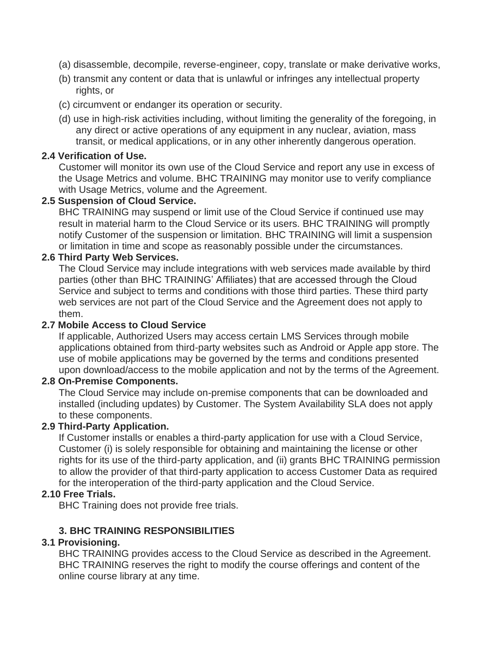- (a) disassemble, decompile, reverse-engineer, copy, translate or make derivative works,
- (b) transmit any content or data that is unlawful or infringes any intellectual property rights, or
- (c) circumvent or endanger its operation or security.
- (d) use in high-risk activities including, without limiting the generality of the foregoing, in any direct or active operations of any equipment in any nuclear, aviation, mass transit, or medical applications, or in any other inherently dangerous operation.

#### **2.4 Verification of Use.**

Customer will monitor its own use of the Cloud Service and report any use in excess of the Usage Metrics and volume. BHC TRAINING may monitor use to verify compliance with Usage Metrics, volume and the Agreement.

#### **2.5 Suspension of Cloud Service.**

BHC TRAINING may suspend or limit use of the Cloud Service if continued use may result in material harm to the Cloud Service or its users. BHC TRAINING will promptly notify Customer of the suspension or limitation. BHC TRAINING will limit a suspension or limitation in time and scope as reasonably possible under the circumstances.

#### **2.6 Third Party Web Services.**

The Cloud Service may include integrations with web services made available by third parties (other than BHC TRAINING' Affiliates) that are accessed through the Cloud Service and subject to terms and conditions with those third parties. These third party web services are not part of the Cloud Service and the Agreement does not apply to them.

#### **2.7 Mobile Access to Cloud Service**

If applicable, Authorized Users may access certain LMS Services through mobile applications obtained from third-party websites such as Android or Apple app store. The use of mobile applications may be governed by the terms and conditions presented upon download/access to the mobile application and not by the terms of the Agreement.

#### **2.8 On-Premise Components.**

The Cloud Service may include on-premise components that can be downloaded and installed (including updates) by Customer. The System Availability SLA does not apply to these components.

#### **2.9 Third-Party Application.**

If Customer installs or enables a third-party application for use with a Cloud Service, Customer (i) is solely responsible for obtaining and maintaining the license or other rights for its use of the third-party application, and (ii) grants BHC TRAINING permission to allow the provider of that third-party application to access Customer Data as required for the interoperation of the third-party application and the Cloud Service.

#### **2.10 Free Trials.**

BHC Training does not provide free trials.

## **3. BHC TRAINING RESPONSIBILITIES**

## **3.1 Provisioning.**

BHC TRAINING provides access to the Cloud Service as described in the Agreement. BHC TRAINING reserves the right to modify the course offerings and content of the online course library at any time.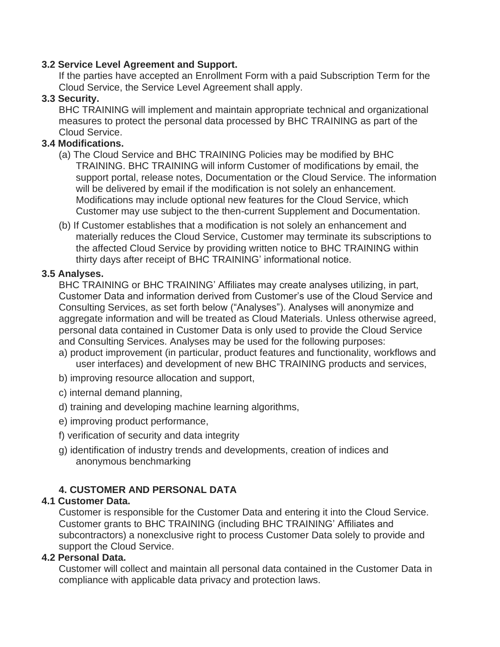### **3.2 Service Level Agreement and Support.**

If the parties have accepted an Enrollment Form with a paid Subscription Term for the Cloud Service, the Service Level Agreement shall apply.

## **3.3 Security.**

BHC TRAINING will implement and maintain appropriate technical and organizational measures to protect the personal data processed by BHC TRAINING as part of the Cloud Service.

# **3.4 Modifications.**

- (a) The Cloud Service and BHC TRAINING Policies may be modified by BHC TRAINING. BHC TRAINING will inform Customer of modifications by email, the support portal, release notes, Documentation or the Cloud Service. The information will be delivered by email if the modification is not solely an enhancement. Modifications may include optional new features for the Cloud Service, which Customer may use subject to the then-current Supplement and Documentation.
- (b) If Customer establishes that a modification is not solely an enhancement and materially reduces the Cloud Service, Customer may terminate its subscriptions to the affected Cloud Service by providing written notice to BHC TRAINING within thirty days after receipt of BHC TRAINING' informational notice.

## **3.5 Analyses.**

BHC TRAINING or BHC TRAINING' Affiliates may create analyses utilizing, in part, Customer Data and information derived from Customer's use of the Cloud Service and Consulting Services, as set forth below ("Analyses"). Analyses will anonymize and aggregate information and will be treated as Cloud Materials. Unless otherwise agreed, personal data contained in Customer Data is only used to provide the Cloud Service and Consulting Services. Analyses may be used for the following purposes:

- a) product improvement (in particular, product features and functionality, workflows and user interfaces) and development of new BHC TRAINING products and services,
- b) improving resource allocation and support,
- c) internal demand planning,
- d) training and developing machine learning algorithms,
- e) improving product performance,
- f) verification of security and data integrity
- g) identification of industry trends and developments, creation of indices and anonymous benchmarking

# **4. CUSTOMER AND PERSONAL DATA**

## **4.1 Customer Data.**

Customer is responsible for the Customer Data and entering it into the Cloud Service. Customer grants to BHC TRAINING (including BHC TRAINING' Affiliates and subcontractors) a nonexclusive right to process Customer Data solely to provide and support the Cloud Service.

## **4.2 Personal Data.**

Customer will collect and maintain all personal data contained in the Customer Data in compliance with applicable data privacy and protection laws.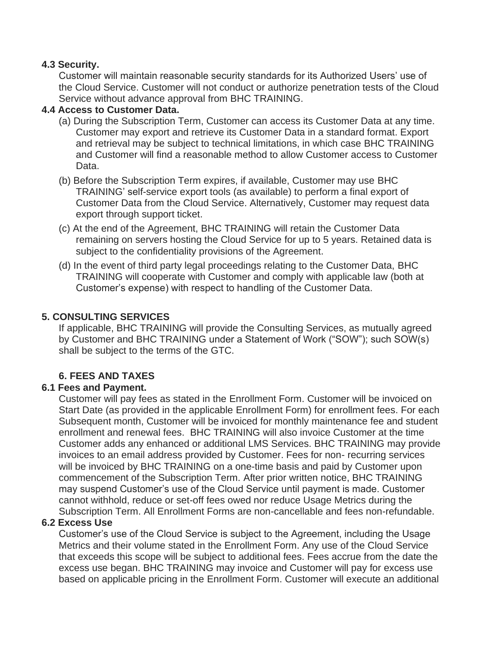### **4.3 Security.**

Customer will maintain reasonable security standards for its Authorized Users' use of the Cloud Service. Customer will not conduct or authorize penetration tests of the Cloud Service without advance approval from BHC TRAINING.

## **4.4 Access to Customer Data.**

- (a) During the Subscription Term, Customer can access its Customer Data at any time. Customer may export and retrieve its Customer Data in a standard format. Export and retrieval may be subject to technical limitations, in which case BHC TRAINING and Customer will find a reasonable method to allow Customer access to Customer Data.
- (b) Before the Subscription Term expires, if available, Customer may use BHC TRAINING' self-service export tools (as available) to perform a final export of Customer Data from the Cloud Service. Alternatively, Customer may request data export through support ticket.
- (c) At the end of the Agreement, BHC TRAINING will retain the Customer Data remaining on servers hosting the Cloud Service for up to 5 years. Retained data is subject to the confidentiality provisions of the Agreement.
- (d) In the event of third party legal proceedings relating to the Customer Data, BHC TRAINING will cooperate with Customer and comply with applicable law (both at Customer's expense) with respect to handling of the Customer Data.

## **5. CONSULTING SERVICES**

If applicable, BHC TRAINING will provide the Consulting Services, as mutually agreed by Customer and BHC TRAINING under a Statement of Work ("SOW"); such SOW(s) shall be subject to the terms of the GTC.

## **6. FEES AND TAXES**

## **6.1 Fees and Payment.**

Customer will pay fees as stated in the Enrollment Form. Customer will be invoiced on Start Date (as provided in the applicable Enrollment Form) for enrollment fees. For each Subsequent month, Customer will be invoiced for monthly maintenance fee and student enrollment and renewal fees. BHC TRAINING will also invoice Customer at the time Customer adds any enhanced or additional LMS Services. BHC TRAINING may provide invoices to an email address provided by Customer. Fees for non- recurring services will be invoiced by BHC TRAINING on a one-time basis and paid by Customer upon commencement of the Subscription Term. After prior written notice, BHC TRAINING may suspend Customer's use of the Cloud Service until payment is made. Customer cannot withhold, reduce or set-off fees owed nor reduce Usage Metrics during the Subscription Term. All Enrollment Forms are non-cancellable and fees non-refundable.

#### **6.2 Excess Use**

Customer's use of the Cloud Service is subject to the Agreement, including the Usage Metrics and their volume stated in the Enrollment Form. Any use of the Cloud Service that exceeds this scope will be subject to additional fees. Fees accrue from the date the excess use began. BHC TRAINING may invoice and Customer will pay for excess use based on applicable pricing in the Enrollment Form. Customer will execute an additional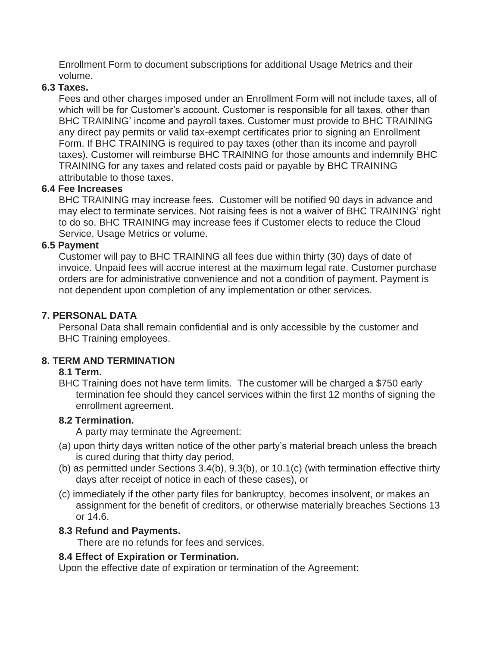Enrollment Form to document subscriptions for additional Usage Metrics and their volume.

#### **6.3 Taxes.**

Fees and other charges imposed under an Enrollment Form will not include taxes, all of which will be for Customer's account. Customer is responsible for all taxes, other than BHC TRAINING' income and payroll taxes. Customer must provide to BHC TRAINING any direct pay permits or valid tax-exempt certificates prior to signing an Enrollment Form. If BHC TRAINING is required to pay taxes (other than its income and payroll taxes), Customer will reimburse BHC TRAINING for those amounts and indemnify BHC TRAINING for any taxes and related costs paid or payable by BHC TRAINING attributable to those taxes.

## **6.4 Fee Increases**

BHC TRAINING may increase fees. Customer will be notified 90 days in advance and may elect to terminate services. Not raising fees is not a waiver of BHC TRAINING' right to do so. BHC TRAINING may increase fees if Customer elects to reduce the Cloud Service, Usage Metrics or volume.

#### **6.5 Payment**

Customer will pay to BHC TRAINING all fees due within thirty (30) days of date of invoice. Unpaid fees will accrue interest at the maximum legal rate. Customer purchase orders are for administrative convenience and not a condition of payment. Payment is not dependent upon completion of any implementation or other services.

## **7. PERSONAL DATA**

Personal Data shall remain confidential and is only accessible by the customer and BHC Training employees.

## **8. TERM AND TERMINATION**

#### **8.1 Term.**

BHC Training does not have term limits. The customer will be charged a \$750 early termination fee should they cancel services within the first 12 months of signing the enrollment agreement.

#### **8.2 Termination.**

A party may terminate the Agreement:

- (a) upon thirty days written notice of the other party's material breach unless the breach is cured during that thirty day period,
- (b) as permitted under Sections 3.4(b), 9.3(b), or 10.1(c) (with termination effective thirty days after receipt of notice in each of these cases), or
- (c) immediately if the other party files for bankruptcy, becomes insolvent, or makes an assignment for the benefit of creditors, or otherwise materially breaches Sections 13 or 14.6.

#### **8.3 Refund and Payments.**

There are no refunds for fees and services.

#### **8.4 Effect of Expiration or Termination.**

Upon the effective date of expiration or termination of the Agreement: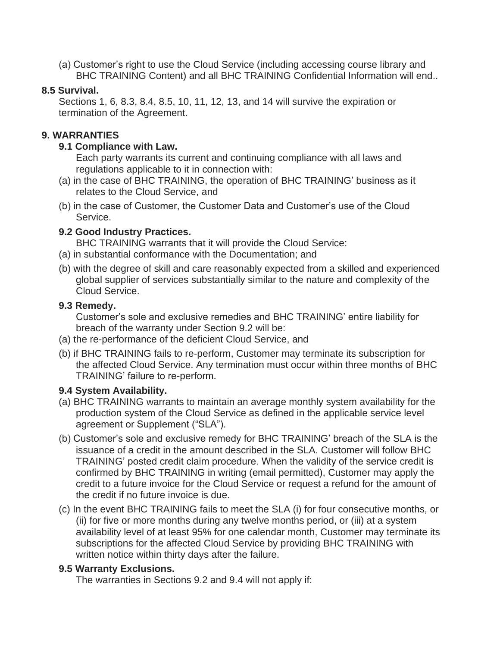(a) Customer's right to use the Cloud Service (including accessing course library and BHC TRAINING Content) and all BHC TRAINING Confidential Information will end..

#### **8.5 Survival.**

Sections 1, 6, 8.3, 8.4, 8.5, 10, 11, 12, 13, and 14 will survive the expiration or termination of the Agreement.

# **9. WARRANTIES**

### **9.1 Compliance with Law.**

Each party warrants its current and continuing compliance with all laws and regulations applicable to it in connection with:

- (a) in the case of BHC TRAINING, the operation of BHC TRAINING' business as it relates to the Cloud Service, and
- (b) in the case of Customer, the Customer Data and Customer's use of the Cloud Service.

## **9.2 Good Industry Practices.**

BHC TRAINING warrants that it will provide the Cloud Service:

- (a) in substantial conformance with the Documentation; and
- (b) with the degree of skill and care reasonably expected from a skilled and experienced global supplier of services substantially similar to the nature and complexity of the Cloud Service.

#### **9.3 Remedy.**

Customer's sole and exclusive remedies and BHC TRAINING' entire liability for breach of the warranty under Section 9.2 will be:

- (a) the re-performance of the deficient Cloud Service, and
- (b) if BHC TRAINING fails to re-perform, Customer may terminate its subscription for the affected Cloud Service. Any termination must occur within three months of BHC TRAINING' failure to re-perform.

## **9.4 System Availability.**

- (a) BHC TRAINING warrants to maintain an average monthly system availability for the production system of the Cloud Service as defined in the applicable service level agreement or Supplement ("SLA").
- (b) Customer's sole and exclusive remedy for BHC TRAINING' breach of the SLA is the issuance of a credit in the amount described in the SLA. Customer will follow BHC TRAINING' posted credit claim procedure. When the validity of the service credit is confirmed by BHC TRAINING in writing (email permitted), Customer may apply the credit to a future invoice for the Cloud Service or request a refund for the amount of the credit if no future invoice is due.
- (c) In the event BHC TRAINING fails to meet the SLA (i) for four consecutive months, or (ii) for five or more months during any twelve months period, or (iii) at a system availability level of at least 95% for one calendar month, Customer may terminate its subscriptions for the affected Cloud Service by providing BHC TRAINING with written notice within thirty days after the failure.

## **9.5 Warranty Exclusions.**

The warranties in Sections 9.2 and 9.4 will not apply if: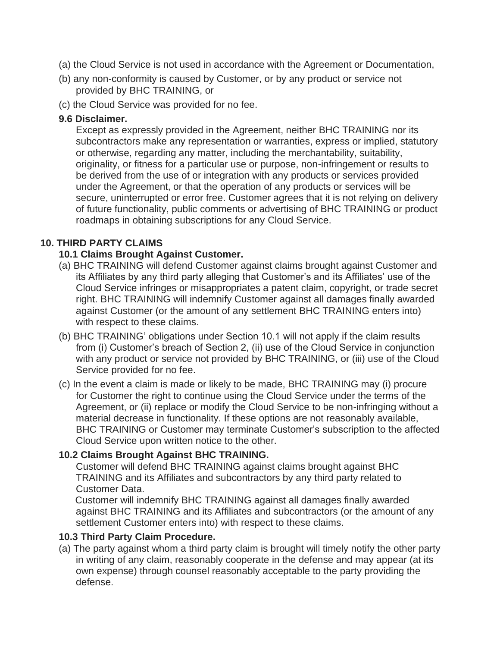- (a) the Cloud Service is not used in accordance with the Agreement or Documentation,
- (b) any non-conformity is caused by Customer, or by any product or service not provided by BHC TRAINING, or
- (c) the Cloud Service was provided for no fee.

### **9.6 Disclaimer.**

Except as expressly provided in the Agreement, neither BHC TRAINING nor its subcontractors make any representation or warranties, express or implied, statutory or otherwise, regarding any matter, including the merchantability, suitability, originality, or fitness for a particular use or purpose, non-infringement or results to be derived from the use of or integration with any products or services provided under the Agreement, or that the operation of any products or services will be secure, uninterrupted or error free. Customer agrees that it is not relying on delivery of future functionality, public comments or advertising of BHC TRAINING or product roadmaps in obtaining subscriptions for any Cloud Service.

# **10. THIRD PARTY CLAIMS**

## **10.1 Claims Brought Against Customer.**

- (a) BHC TRAINING will defend Customer against claims brought against Customer and its Affiliates by any third party alleging that Customer's and its Affiliates' use of the Cloud Service infringes or misappropriates a patent claim, copyright, or trade secret right. BHC TRAINING will indemnify Customer against all damages finally awarded against Customer (or the amount of any settlement BHC TRAINING enters into) with respect to these claims.
- (b) BHC TRAINING' obligations under Section 10.1 will not apply if the claim results from (i) Customer's breach of Section 2, (ii) use of the Cloud Service in conjunction with any product or service not provided by BHC TRAINING, or (iii) use of the Cloud Service provided for no fee.
- (c) In the event a claim is made or likely to be made, BHC TRAINING may (i) procure for Customer the right to continue using the Cloud Service under the terms of the Agreement, or (ii) replace or modify the Cloud Service to be non-infringing without a material decrease in functionality. If these options are not reasonably available, BHC TRAINING or Customer may terminate Customer's subscription to the affected Cloud Service upon written notice to the other.

## **10.2 Claims Brought Against BHC TRAINING.**

Customer will defend BHC TRAINING against claims brought against BHC TRAINING and its Affiliates and subcontractors by any third party related to Customer Data.

 Customer will indemnify BHC TRAINING against all damages finally awarded against BHC TRAINING and its Affiliates and subcontractors (or the amount of any settlement Customer enters into) with respect to these claims.

#### **10.3 Third Party Claim Procedure.**

(a) The party against whom a third party claim is brought will timely notify the other party in writing of any claim, reasonably cooperate in the defense and may appear (at its own expense) through counsel reasonably acceptable to the party providing the defense.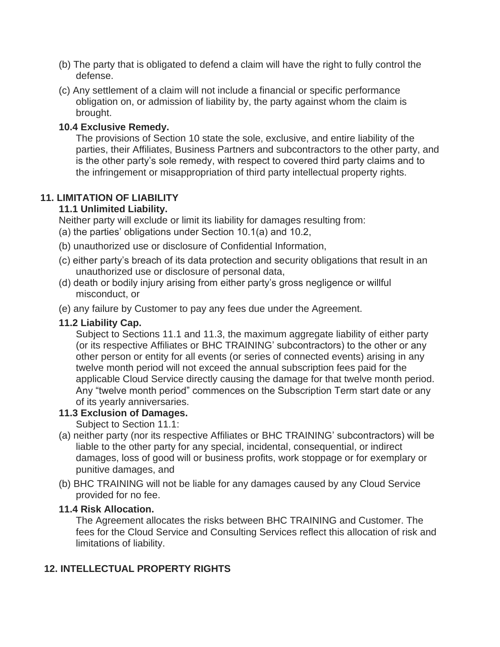- (b) The party that is obligated to defend a claim will have the right to fully control the defense.
- (c) Any settlement of a claim will not include a financial or specific performance obligation on, or admission of liability by, the party against whom the claim is brought.

#### **10.4 Exclusive Remedy.**

The provisions of Section 10 state the sole, exclusive, and entire liability of the parties, their Affiliates, Business Partners and subcontractors to the other party, and is the other party's sole remedy, with respect to covered third party claims and to the infringement or misappropriation of third party intellectual property rights.

# **11. LIMITATION OF LIABILITY**

#### **11.1 Unlimited Liability.**

Neither party will exclude or limit its liability for damages resulting from:

- (a) the parties' obligations under Section 10.1(a) and 10.2,
- (b) unauthorized use or disclosure of Confidential Information,
- (c) either party's breach of its data protection and security obligations that result in an unauthorized use or disclosure of personal data,
- (d) death or bodily injury arising from either party's gross negligence or willful misconduct, or
- (e) any failure by Customer to pay any fees due under the Agreement.

### **11.2 Liability Cap.**

Subject to Sections 11.1 and 11.3, the maximum aggregate liability of either party (or its respective Affiliates or BHC TRAINING' subcontractors) to the other or any other person or entity for all events (or series of connected events) arising in any twelve month period will not exceed the annual subscription fees paid for the applicable Cloud Service directly causing the damage for that twelve month period. Any "twelve month period" commences on the Subscription Term start date or any of its yearly anniversaries.

#### **11.3 Exclusion of Damages.**

Subject to Section 11.1:

- (a) neither party (nor its respective Affiliates or BHC TRAINING' subcontractors) will be liable to the other party for any special, incidental, consequential, or indirect damages, loss of good will or business profits, work stoppage or for exemplary or punitive damages, and
- (b) BHC TRAINING will not be liable for any damages caused by any Cloud Service provided for no fee.

#### **11.4 Risk Allocation.**

The Agreement allocates the risks between BHC TRAINING and Customer. The fees for the Cloud Service and Consulting Services reflect this allocation of risk and limitations of liability.

## **12. INTELLECTUAL PROPERTY RIGHTS**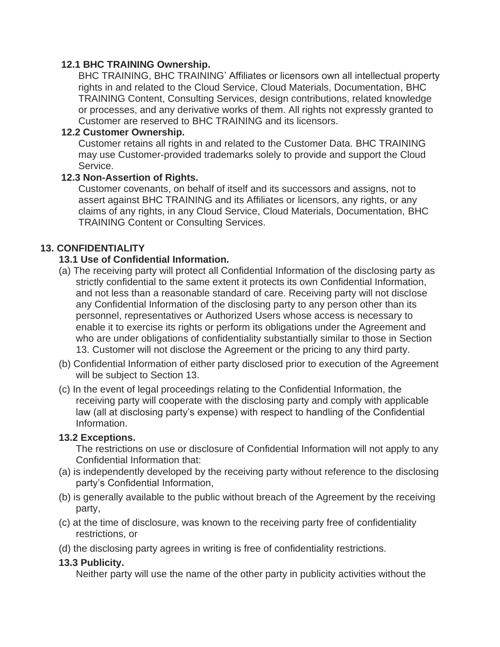#### **12.1 BHC TRAINING Ownership.**

BHC TRAINING, BHC TRAINING' Affiliates or licensors own all intellectual property rights in and related to the Cloud Service, Cloud Materials, Documentation, BHC TRAINING Content, Consulting Services, design contributions, related knowledge or processes, and any derivative works of them. All rights not expressly granted to Customer are reserved to BHC TRAINING and its licensors.

## **12.2 Customer Ownership.**

Customer retains all rights in and related to the Customer Data. BHC TRAINING may use Customer-provided trademarks solely to provide and support the Cloud Service.

#### **12.3 Non-Assertion of Rights.**

Customer covenants, on behalf of itself and its successors and assigns, not to assert against BHC TRAINING and its Affiliates or licensors, any rights, or any claims of any rights, in any Cloud Service, Cloud Materials, Documentation, BHC TRAINING Content or Consulting Services.

## **13. CONFIDENTIALITY**

## **13.1 Use of Confidential Information.**

- (a) The receiving party will protect all Confidential Information of the disclosing party as strictly confidential to the same extent it protects its own Confidential Information, and not less than a reasonable standard of care. Receiving party will not disclose any Confidential Information of the disclosing party to any person other than its personnel, representatives or Authorized Users whose access is necessary to enable it to exercise its rights or perform its obligations under the Agreement and who are under obligations of confidentiality substantially similar to those in Section 13. Customer will not disclose the Agreement or the pricing to any third party.
- (b) Confidential Information of either party disclosed prior to execution of the Agreement will be subject to Section 13.
- (c) In the event of legal proceedings relating to the Confidential Information, the receiving party will cooperate with the disclosing party and comply with applicable law (all at disclosing party's expense) with respect to handling of the Confidential Information.

#### **13.2 Exceptions.**

The restrictions on use or disclosure of Confidential Information will not apply to any Confidential Information that:

- (a) is independently developed by the receiving party without reference to the disclosing party's Confidential Information,
- (b) is generally available to the public without breach of the Agreement by the receiving party,
- (c) at the time of disclosure, was known to the receiving party free of confidentiality restrictions, or
- (d) the disclosing party agrees in writing is free of confidentiality restrictions.

## **13.3 Publicity.**

Neither party will use the name of the other party in publicity activities without the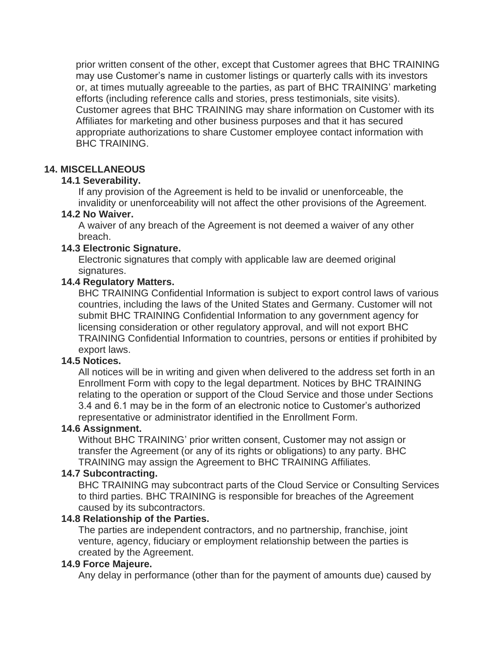prior written consent of the other, except that Customer agrees that BHC TRAINING may use Customer's name in customer listings or quarterly calls with its investors or, at times mutually agreeable to the parties, as part of BHC TRAINING' marketing efforts (including reference calls and stories, press testimonials, site visits). Customer agrees that BHC TRAINING may share information on Customer with its Affiliates for marketing and other business purposes and that it has secured appropriate authorizations to share Customer employee contact information with BHC TRAINING.

#### **14. MISCELLANEOUS**

#### **14.1 Severability.**

If any provision of the Agreement is held to be invalid or unenforceable, the invalidity or unenforceability will not affect the other provisions of the Agreement.

#### **14.2 No Waiver.**

A waiver of any breach of the Agreement is not deemed a waiver of any other breach.

#### **14.3 Electronic Signature.**

Electronic signatures that comply with applicable law are deemed original signatures.

#### **14.4 Regulatory Matters.**

BHC TRAINING Confidential Information is subject to export control laws of various countries, including the laws of the United States and Germany. Customer will not submit BHC TRAINING Confidential Information to any government agency for licensing consideration or other regulatory approval, and will not export BHC TRAINING Confidential Information to countries, persons or entities if prohibited by export laws.

#### **14.5 Notices.**

All notices will be in writing and given when delivered to the address set forth in an Enrollment Form with copy to the legal department. Notices by BHC TRAINING relating to the operation or support of the Cloud Service and those under Sections 3.4 and 6.1 may be in the form of an electronic notice to Customer's authorized representative or administrator identified in the Enrollment Form.

#### **14.6 Assignment.**

Without BHC TRAINING' prior written consent, Customer may not assign or transfer the Agreement (or any of its rights or obligations) to any party. BHC TRAINING may assign the Agreement to BHC TRAINING Affiliates.

#### **14.7 Subcontracting.**

BHC TRAINING may subcontract parts of the Cloud Service or Consulting Services to third parties. BHC TRAINING is responsible for breaches of the Agreement caused by its subcontractors.

#### **14.8 Relationship of the Parties.**

The parties are independent contractors, and no partnership, franchise, joint venture, agency, fiduciary or employment relationship between the parties is created by the Agreement.

#### **14.9 Force Majeure.**

Any delay in performance (other than for the payment of amounts due) caused by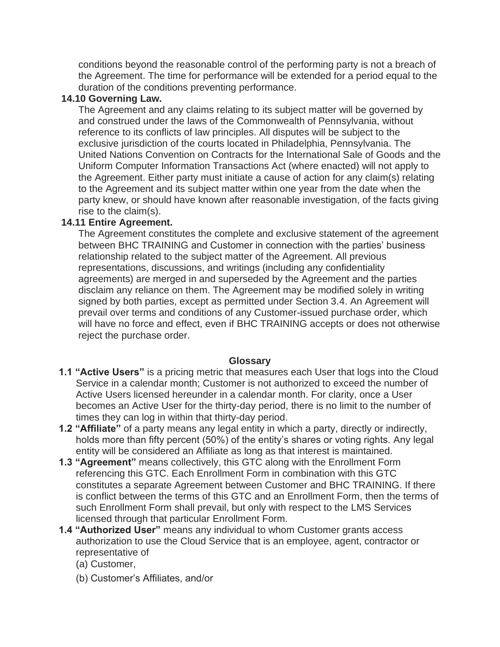conditions beyond the reasonable control of the performing party is not a breach of the Agreement. The time for performance will be extended for a period equal to the duration of the conditions preventing performance.

### **14.10 Governing Law.**

The Agreement and any claims relating to its subject matter will be governed by and construed under the laws of the Commonwealth of Pennsylvania, without reference to its conflicts of law principles. All disputes will be subject to the exclusive jurisdiction of the courts located in Philadelphia, Pennsylvania. The United Nations Convention on Contracts for the International Sale of Goods and the Uniform Computer Information Transactions Act (where enacted) will not apply to the Agreement. Either party must initiate a cause of action for any claim(s) relating to the Agreement and its subject matter within one year from the date when the party knew, or should have known after reasonable investigation, of the facts giving rise to the claim(s).

#### **14.11 Entire Agreement.**

The Agreement constitutes the complete and exclusive statement of the agreement between BHC TRAINING and Customer in connection with the parties' business relationship related to the subject matter of the Agreement. All previous representations, discussions, and writings (including any confidentiality agreements) are merged in and superseded by the Agreement and the parties disclaim any reliance on them. The Agreement may be modified solely in writing signed by both parties, except as permitted under Section 3.4. An Agreement will prevail over terms and conditions of any Customer-issued purchase order, which will have no force and effect, even if BHC TRAINING accepts or does not otherwise reject the purchase order.

#### **Glossary**

- **1.1 "Active Users"** is a pricing metric that measures each User that logs into the Cloud Service in a calendar month; Customer is not authorized to exceed the number of Active Users licensed hereunder in a calendar month. For clarity, once a User becomes an Active User for the thirty-day period, there is no limit to the number of times they can log in within that thirty-day period.
- **1.2 "Affiliate"** of a party means any legal entity in which a party, directly or indirectly, holds more than fifty percent (50%) of the entity's shares or voting rights. Any legal entity will be considered an Affiliate as long as that interest is maintained.
- **1.3 "Agreement"** means collectively, this GTC along with the Enrollment Form referencing this GTC. Each Enrollment Form in combination with this GTC constitutes a separate Agreement between Customer and BHC TRAINING. If there is conflict between the terms of this GTC and an Enrollment Form, then the terms of such Enrollment Form shall prevail, but only with respect to the LMS Services licensed through that particular Enrollment Form.
- **1.4 "Authorized User"** means any individual to whom Customer grants access authorization to use the Cloud Service that is an employee, agent, contractor or representative of
	- (a) Customer,
	- (b) Customer's Affiliates, and/or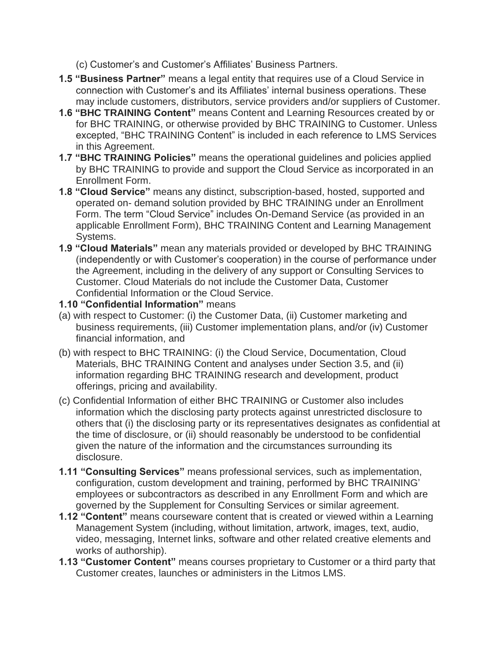(c) Customer's and Customer's Affiliates' Business Partners.

- **1.5 "Business Partner"** means a legal entity that requires use of a Cloud Service in connection with Customer's and its Affiliates' internal business operations. These may include customers, distributors, service providers and/or suppliers of Customer.
- **1.6 "BHC TRAINING Content"** means Content and Learning Resources created by or for BHC TRAINING, or otherwise provided by BHC TRAINING to Customer. Unless excepted, "BHC TRAINING Content" is included in each reference to LMS Services in this Agreement.
- **1.7 "BHC TRAINING Policies"** means the operational guidelines and policies applied by BHC TRAINING to provide and support the Cloud Service as incorporated in an Enrollment Form.
- **1.8 "Cloud Service"** means any distinct, subscription-based, hosted, supported and operated on- demand solution provided by BHC TRAINING under an Enrollment Form. The term "Cloud Service" includes On-Demand Service (as provided in an applicable Enrollment Form), BHC TRAINING Content and Learning Management Systems.
- **1.9 "Cloud Materials"** mean any materials provided or developed by BHC TRAINING (independently or with Customer's cooperation) in the course of performance under the Agreement, including in the delivery of any support or Consulting Services to Customer. Cloud Materials do not include the Customer Data, Customer Confidential Information or the Cloud Service.
- **1.10 "Confidential Information"** means
- (a) with respect to Customer: (i) the Customer Data, (ii) Customer marketing and business requirements, (iii) Customer implementation plans, and/or (iv) Customer financial information, and
- (b) with respect to BHC TRAINING: (i) the Cloud Service, Documentation, Cloud Materials, BHC TRAINING Content and analyses under Section 3.5, and (ii) information regarding BHC TRAINING research and development, product offerings, pricing and availability.
- (c) Confidential Information of either BHC TRAINING or Customer also includes information which the disclosing party protects against unrestricted disclosure to others that (i) the disclosing party or its representatives designates as confidential at the time of disclosure, or (ii) should reasonably be understood to be confidential given the nature of the information and the circumstances surrounding its disclosure.
- **1.11 "Consulting Services"** means professional services, such as implementation, configuration, custom development and training, performed by BHC TRAINING' employees or subcontractors as described in any Enrollment Form and which are governed by the Supplement for Consulting Services or similar agreement.
- **1.12 "Content"** means courseware content that is created or viewed within a Learning Management System (including, without limitation, artwork, images, text, audio, video, messaging, Internet links, software and other related creative elements and works of authorship).
- **1.13 "Customer Content"** means courses proprietary to Customer or a third party that Customer creates, launches or administers in the Litmos LMS.